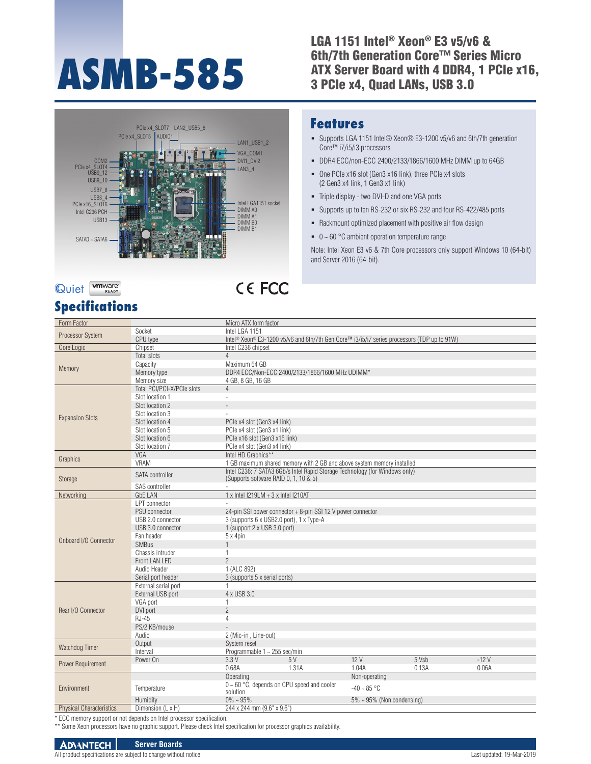# **ASMB-585**

LGA 1151 Intel® Xeon® E3 v5/v6 & 6th/7th Generation Core™ Series Micro ATX Server Board with 4 DDR4, 1 PCIe x16, 3 PCIe x4, Quad LANs, USB 3.0



# Quiet **WHATER**

## **Specifications**

# CE FCC

#### **Features**

- Supports LGA 1151 Intel® Xeon® E3-1200 v5/v6 and 6th/7th generation Core™ i7/i5/i3 processors
- DDR4 ECC/non-ECC 2400/2133/1866/1600 MHz DIMM up to 64GB
- One PCIe x16 slot (Gen3 x16 link), three PCIe x4 slots (2 Gen3 x4 link, 1 Gen3 x1 link)
- Triple display two DVI-D and one VGA ports
- Supports up to ten RS-232 or six RS-232 and four RS-422/485 ports
- Rackmount optimized placement with positive air flow design
- $\bullet$  0 ~ 60 °C ambient operation temperature range

Note: Intel Xeon E3 v6 & 7th Core processors only support Windows 10 (64-bit) and Server 2016 (64-bit).

| Form Factor                     |                            | Micro ATX form factor                                                                                                |  |  |  |  |
|---------------------------------|----------------------------|----------------------------------------------------------------------------------------------------------------------|--|--|--|--|
| Processor System                | Socket                     | Intel LGA 1151                                                                                                       |  |  |  |  |
|                                 | CPU type                   | Intel <sup>®</sup> Xeon <sup>®</sup> E3-1200 v5/v6 and 6th/7th Gen Core™ i3/i5/i7 series processors (TDP up to 91W)  |  |  |  |  |
| Core Logic                      | Chipset                    | Intel C236 chipset                                                                                                   |  |  |  |  |
| Memory                          | Total slots                | $\Delta$                                                                                                             |  |  |  |  |
|                                 | Capacity                   | Maximum 64 GB                                                                                                        |  |  |  |  |
|                                 | Memory type                | DDR4 ECC/Non-ECC 2400/2133/1866/1600 MHz UDIMM*                                                                      |  |  |  |  |
|                                 | Memory size                | 4 GB, 8 GB, 16 GB                                                                                                    |  |  |  |  |
| <b>Expansion Slots</b>          | Total PCI/PCI-X/PCIe slots | $\overline{4}$                                                                                                       |  |  |  |  |
|                                 | Slot location 1            | $\overline{a}$                                                                                                       |  |  |  |  |
|                                 | Slot location 2            |                                                                                                                      |  |  |  |  |
|                                 | Slot location 3            |                                                                                                                      |  |  |  |  |
|                                 | Slot location 4            | PCle x4 slot (Gen3 x4 link)                                                                                          |  |  |  |  |
|                                 | Slot location 5            | PCle x4 slot (Gen3 x1 link)                                                                                          |  |  |  |  |
|                                 | Slot location 6            | PCle x16 slot (Gen3 x16 link)                                                                                        |  |  |  |  |
|                                 | Slot location 7            | PCle x4 slot (Gen3 x4 link)                                                                                          |  |  |  |  |
| Graphics                        | VGA                        | Intel HD Graphics**                                                                                                  |  |  |  |  |
|                                 | <b>VRAM</b>                | 1 GB maximum shared memory with 2 GB and above system memory installed                                               |  |  |  |  |
| Storage                         | SATA controller            | Intel C236: 7 SATA3 6Gb/s Intel Rapid Storage Technology (for Windows only)<br>(Supports software RAID 0, 1, 10 & 5) |  |  |  |  |
|                                 | SAS controller             |                                                                                                                      |  |  |  |  |
| Networking                      | <b>GbE LAN</b>             | 1 x Intel I219LM + 3 x Intel I210AT                                                                                  |  |  |  |  |
|                                 | <b>LPT</b> connector       |                                                                                                                      |  |  |  |  |
|                                 | PSU connector              | 24-pin SSI power connector + 8-pin SSI 12 V power connector                                                          |  |  |  |  |
|                                 | USB 2.0 connector          | 3 (supports 6 x USB2.0 port), 1 x Type-A                                                                             |  |  |  |  |
|                                 | USB 3.0 connector          | 1 (support 2 x USB 3.0 port)                                                                                         |  |  |  |  |
| Onboard I/O Connector           | Fan header                 | 5 x 4pin                                                                                                             |  |  |  |  |
|                                 | <b>SMBus</b>               |                                                                                                                      |  |  |  |  |
|                                 | Chassis intruder           | 1                                                                                                                    |  |  |  |  |
|                                 | Front LAN LED              | $\overline{2}$                                                                                                       |  |  |  |  |
|                                 | Audio Header               | 1 (ALC 892)                                                                                                          |  |  |  |  |
|                                 | Serial port header         | 3 (supports 5 x serial ports)                                                                                        |  |  |  |  |
| Rear I/O Connector              | External serial port       | 1                                                                                                                    |  |  |  |  |
|                                 | External USB port          | 4 x USB 3.0                                                                                                          |  |  |  |  |
|                                 | VGA port                   | 1                                                                                                                    |  |  |  |  |
|                                 | DVI port                   | $\overline{2}$                                                                                                       |  |  |  |  |
|                                 | <b>RJ-45</b>               | $\overline{4}$                                                                                                       |  |  |  |  |
|                                 | PS/2 KB/mouse              |                                                                                                                      |  |  |  |  |
|                                 | Audio                      | 2 (Mic-in, Line-out)                                                                                                 |  |  |  |  |
| Watchdog Timer                  | Output                     | System reset                                                                                                         |  |  |  |  |
|                                 | Interval                   | Programmable 1 ~ 255 sec/min                                                                                         |  |  |  |  |
| Power Requirement               | Power On                   | 12V<br>5 Vsb<br>$-12V$<br>3.3V<br>5V                                                                                 |  |  |  |  |
|                                 |                            | 0.68A<br>1.31A<br>1.04A<br>0.13A<br>0.06A                                                                            |  |  |  |  |
| Environment                     |                            | Operating<br>Non-operating                                                                                           |  |  |  |  |
|                                 | Temperature                | $0 \sim 60$ °C, depends on CPU speed and cooler<br>$-40 \sim 85$ °C                                                  |  |  |  |  |
|                                 |                            | solution                                                                                                             |  |  |  |  |
|                                 | Humidity                   | $0\% \sim 95\%$<br>$5\% \sim 95\%$ (Non condensing)                                                                  |  |  |  |  |
| <b>Physical Characteristics</b> | Dimension (L x H)          | 244 x 244 mm (9.6" x 9.6")                                                                                           |  |  |  |  |

\* ECC memory support or not depends on Intel processor specification.

\*\* Some Xeon processors have no graphic support. Please check Intel specification for processor graphics availability.

#### **ADVANTECH Server Boards**